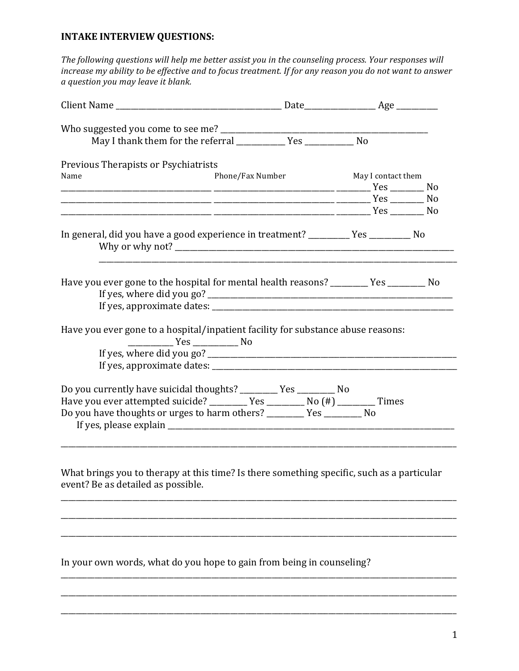## **INTAKE INTERVIEW QUESTIONS:**

The following questions will help me better assist you in the counseling process. Your responses will increase my ability to be effective and to focus treatment. If for any reason you do not want to answer a question you may leave it blank.

| Phone/Fax Number | May I contact them |                                                                                                                                                                                                                                                                                                                                                                                                                                                                                                                                                                                                 |
|------------------|--------------------|-------------------------------------------------------------------------------------------------------------------------------------------------------------------------------------------------------------------------------------------------------------------------------------------------------------------------------------------------------------------------------------------------------------------------------------------------------------------------------------------------------------------------------------------------------------------------------------------------|
|                  |                    |                                                                                                                                                                                                                                                                                                                                                                                                                                                                                                                                                                                                 |
|                  |                    |                                                                                                                                                                                                                                                                                                                                                                                                                                                                                                                                                                                                 |
|                  |                    |                                                                                                                                                                                                                                                                                                                                                                                                                                                                                                                                                                                                 |
|                  |                    |                                                                                                                                                                                                                                                                                                                                                                                                                                                                                                                                                                                                 |
|                  |                    |                                                                                                                                                                                                                                                                                                                                                                                                                                                                                                                                                                                                 |
|                  |                    |                                                                                                                                                                                                                                                                                                                                                                                                                                                                                                                                                                                                 |
|                  |                    |                                                                                                                                                                                                                                                                                                                                                                                                                                                                                                                                                                                                 |
|                  |                    |                                                                                                                                                                                                                                                                                                                                                                                                                                                                                                                                                                                                 |
|                  |                    |                                                                                                                                                                                                                                                                                                                                                                                                                                                                                                                                                                                                 |
|                  |                    |                                                                                                                                                                                                                                                                                                                                                                                                                                                                                                                                                                                                 |
|                  |                    | In general, did you have a good experience in treatment? __________ Yes _________ No<br>Have you ever gone to the hospital for mental health reasons? ________ Yes _______ No<br>Have you ever gone to a hospital/inpatient facility for substance abuse reasons:<br>Do you currently have suicidal thoughts? ________ Yes ________ No<br>Have you ever attempted suicide? _________ Yes ________ No (#) ________ Times<br>Do you have thoughts or urges to harm others? ________ Yes ________ No<br>What brings you to therapy at this time? Is there something specific, such as a particular |

In your own words, what do you hope to gain from being in counseling?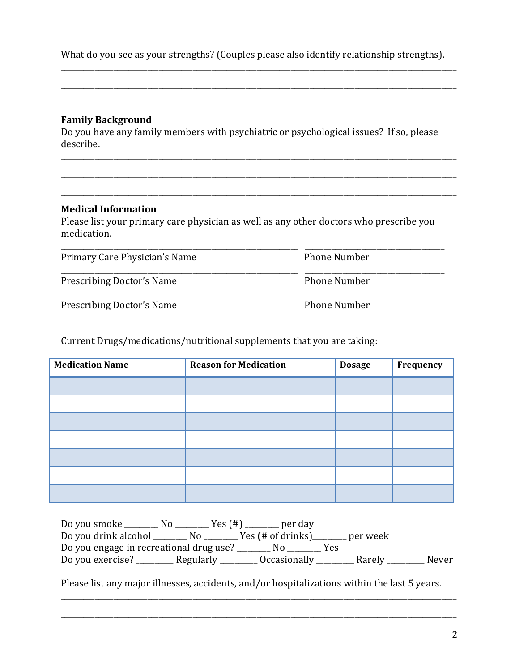What do you see as your strengths? (Couples please also identify relationship strengths).

\_\_\_\_\_\_\_\_\_\_\_\_\_\_\_\_\_\_\_\_\_\_\_\_\_\_\_\_\_\_\_\_\_\_\_\_\_\_\_\_\_\_\_\_\_\_\_\_\_\_\_\_\_\_\_\_\_\_\_\_\_\_\_\_\_\_\_\_\_\_\_\_\_\_\_\_\_\_\_\_\_\_\_\_\_\_\_\_\_\_\_\_\_\_\_\_\_\_\_\_\_\_\_\_\_

\_\_\_\_\_\_\_\_\_\_\_\_\_\_\_\_\_\_\_\_\_\_\_\_\_\_\_\_\_\_\_\_\_\_\_\_\_\_\_\_\_\_\_\_\_\_\_\_\_\_\_\_\_\_\_\_\_\_\_\_\_\_\_\_\_\_\_\_\_\_\_\_\_\_\_\_\_\_\_\_\_\_\_\_\_\_\_\_\_\_\_\_\_\_\_\_\_\_\_\_\_\_\_\_\_

\_\_\_\_\_\_\_\_\_\_\_\_\_\_\_\_\_\_\_\_\_\_\_\_\_\_\_\_\_\_\_\_\_\_\_\_\_\_\_\_\_\_\_\_\_\_\_\_\_\_\_\_\_\_\_\_\_\_\_\_\_\_\_\_\_\_\_\_\_\_\_\_\_\_\_\_\_\_\_\_\_\_\_\_\_\_\_\_\_\_\_\_\_\_\_\_\_\_\_\_\_\_\_\_\_

## **Family Background**

Do you have any family members with psychiatric or psychological issues? If so, please describe.

\_\_\_\_\_\_\_\_\_\_\_\_\_\_\_\_\_\_\_\_\_\_\_\_\_\_\_\_\_\_\_\_\_\_\_\_\_\_\_\_\_\_\_\_\_\_\_\_\_\_\_\_\_\_\_\_\_\_\_\_\_\_\_\_\_\_\_\_\_\_\_\_\_\_\_\_\_\_\_\_\_\_\_\_\_\_\_\_\_\_\_\_\_\_\_\_\_\_\_\_\_\_\_\_\_

\_\_\_\_\_\_\_\_\_\_\_\_\_\_\_\_\_\_\_\_\_\_\_\_\_\_\_\_\_\_\_\_\_\_\_\_\_\_\_\_\_\_\_\_\_\_\_\_\_\_\_\_\_\_\_\_\_\_\_\_\_\_\_\_\_\_\_\_\_\_\_\_\_\_\_\_\_\_\_\_\_\_\_\_\_\_\_\_\_\_\_\_\_\_\_\_\_\_\_\_\_\_\_\_\_

## **Medical Information**

Please list your primary care physician as well as any other doctors who prescribe you medication.

| Primary Care Physician's Name    | <b>Phone Number</b> |
|----------------------------------|---------------------|
| <b>Prescribing Doctor's Name</b> | <b>Phone Number</b> |
| <b>Prescribing Doctor's Name</b> | <b>Phone Number</b> |

Current Drugs/medications/nutritional supplements that you are taking:

| <b>Medication Name</b> | <b>Reason for Medication</b> | <b>Dosage</b> | Frequency |
|------------------------|------------------------------|---------------|-----------|
|                        |                              |               |           |
|                        |                              |               |           |
|                        |                              |               |           |
|                        |                              |               |           |
|                        |                              |               |           |
|                        |                              |               |           |
|                        |                              |               |           |

| Do you smoke                            | Yes (#)<br>N <sub>0</sub> | per day                    |          |       |
|-----------------------------------------|---------------------------|----------------------------|----------|-------|
| Do you drink alcohol                    | N <sub>0</sub>            | Yes (# of drinks)          | per week |       |
| Do you engage in recreational drug use? |                           |                            | Yes      |       |
| Do you exercise?                        | Regularly                 | <i><b>Occasionally</b></i> | Rarely   | Never |

Please list any major illnesses, accidents, and/or hospitalizations within the last 5 years.

\_\_\_\_\_\_\_\_\_\_\_\_\_\_\_\_\_\_\_\_\_\_\_\_\_\_\_\_\_\_\_\_\_\_\_\_\_\_\_\_\_\_\_\_\_\_\_\_\_\_\_\_\_\_\_\_\_\_\_\_\_\_\_\_\_\_\_\_\_\_\_\_\_\_\_\_\_\_\_\_\_\_\_\_\_\_\_\_\_\_\_\_\_\_\_\_\_\_\_\_\_\_\_\_\_

\_\_\_\_\_\_\_\_\_\_\_\_\_\_\_\_\_\_\_\_\_\_\_\_\_\_\_\_\_\_\_\_\_\_\_\_\_\_\_\_\_\_\_\_\_\_\_\_\_\_\_\_\_\_\_\_\_\_\_\_\_\_\_\_\_\_\_\_\_\_\_\_\_\_\_\_\_\_\_\_\_\_\_\_\_\_\_\_\_\_\_\_\_\_\_\_\_\_\_\_\_\_\_\_\_